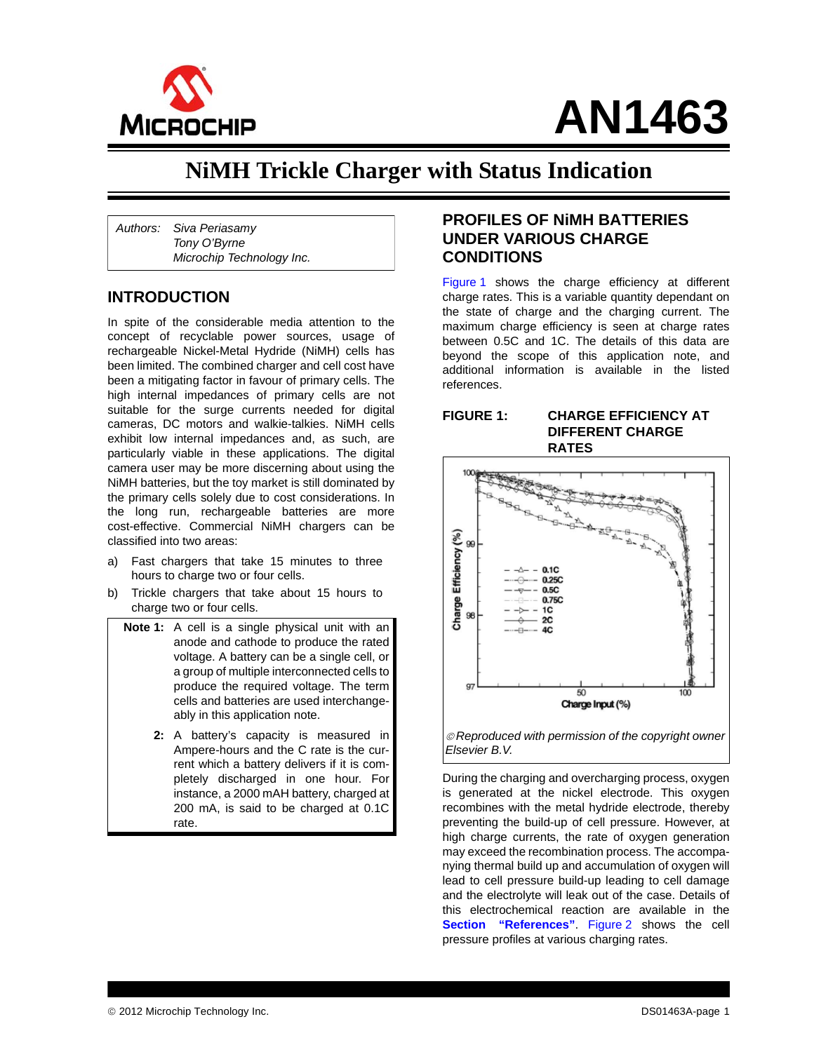



# **NiMH Trickle Charger with Status Indication**

*Authors: Siva Periasamy Tony O'Byrne Microchip Technology Inc.*

#### **INTRODUCTION**

In spite of the considerable media attention to the concept of recyclable power sources, usage of rechargeable Nickel-Metal Hydride (NiMH) cells has been limited. The combined charger and cell cost have been a mitigating factor in favour of primary cells. The high internal impedances of primary cells are not suitable for the surge currents needed for digital cameras, DC motors and walkie-talkies. NiMH cells exhibit low internal impedances and, as such, are particularly viable in these applications. The digital camera user may be more discerning about using the NiMH batteries, but the toy market is still dominated by the primary cells solely due to cost considerations. In the long run, rechargeable batteries are more cost-effective. Commercial NiMH chargers can be classified into two areas:

- a) Fast chargers that take 15 minutes to three hours to charge two or four cells.
- b) Trickle chargers that take about 15 hours to charge two or four cells.
	- **Note 1:** A cell is a single physical unit with an anode and cathode to produce the rated voltage. A battery can be a single cell, or a group of multiple interconnected cells to produce the required voltage. The term cells and batteries are used interchangeably in this application note.
		- **2:** A battery's capacity is measured in Ampere-hours and the C rate is the current which a battery delivers if it is completely discharged in one hour. For instance, a 2000 mAH battery, charged at 200 mA, is said to be charged at 0.1C rate.

### **PROFILES OF NiMH BATTERIES UNDER VARIOUS CHARGE CONDITIONS**

[Figure 1](#page-0-0) shows the charge efficiency at different charge rates. This is a variable quantity dependant on the state of charge and the charging current. The maximum charge efficiency is seen at charge rates between 0.5C and 1C. The details of this data are beyond the scope of this application note, and additional information is available in the listed references.



#### <span id="page-0-0"></span>**FIGURE 1: CHARGE EFFICIENCY AT DIFFERENT CHARGE RATES**



*Elsevier B.V.*

During the charging and overcharging process, oxygen is generated at the nickel electrode. This oxygen recombines with the metal hydride electrode, thereby preventing the build-up of cell pressure. However, at high charge currents, the rate of oxygen generation may exceed the recombination process. The accompanying thermal build up and accumulation of oxygen will lead to cell pressure build-up leading to cell damage and the electrolyte will leak out of the case. Details of this electrochemical reaction are available in the **[Section "References"](#page-16-0)**. [Figure 2](#page-1-0) shows the cell pressure profiles at various charging rates.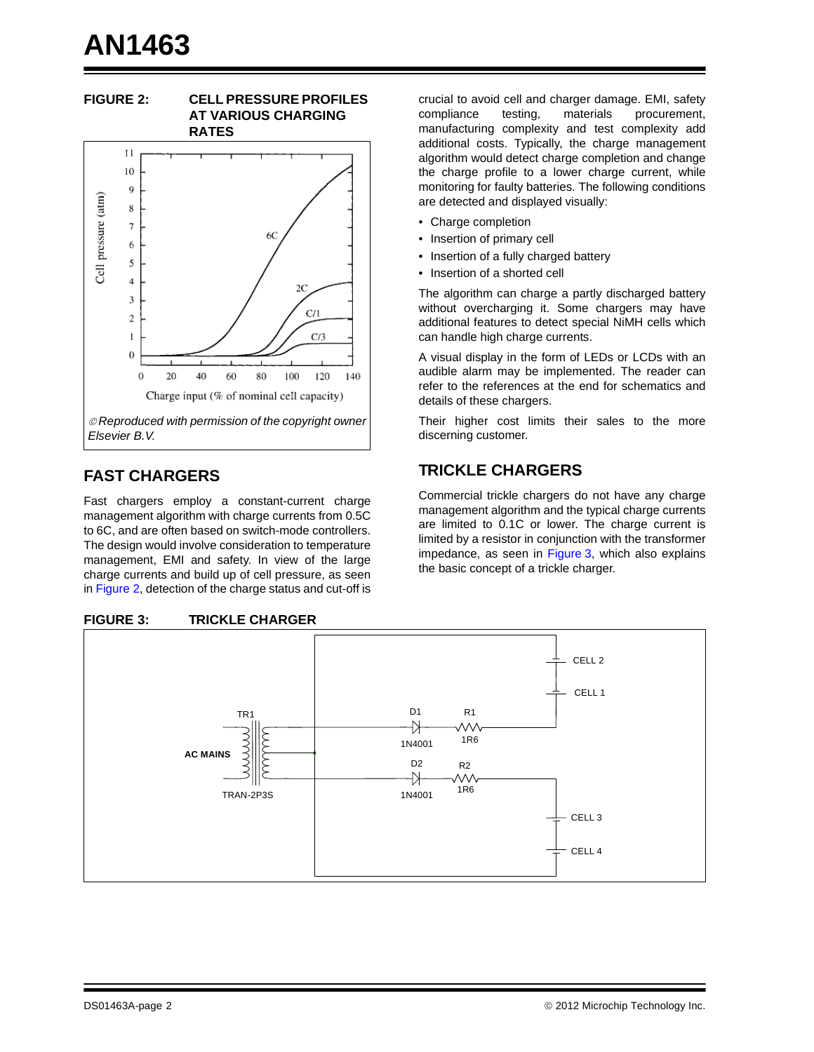# **AN1463**

#### <span id="page-1-0"></span>**FIGURE 2: CELL PRESSURE PROFILES AT VARIOUS CHARGING**



*Reproduced with permission of the copyright owner Elsevier B.V.*

# **FAST CHARGERS**

Fast chargers employ a constant-current charge management algorithm with charge currents from 0.5C to 6C, and are often based on switch-mode controllers. The design would involve consideration to temperature management, EMI and safety. In view of the large charge currents and build up of cell pressure, as seen in [Figure 2](#page-1-0), detection of the charge status and cut-off is

#### <span id="page-1-1"></span>**FIGURE 3: TRICKLE CHARGER**

crucial to avoid cell and charger damage. EMI, safety compliance testing, materials procurement, manufacturing complexity and test complexity add additional costs. Typically, the charge management algorithm would detect charge completion and change the charge profile to a lower charge current, while monitoring for faulty batteries. The following conditions are detected and displayed visually:

- Charge completion
- Insertion of primary cell
- Insertion of a fully charged battery
- Insertion of a shorted cell

The algorithm can charge a partly discharged battery without overcharging it. Some chargers may have additional features to detect special NiMH cells which can handle high charge currents.

A visual display in the form of LEDs or LCDs with an audible alarm may be implemented. The reader can refer to the references at the end for schematics and details of these chargers.

Their higher cost limits their sales to the more discerning customer.

# **TRICKLE CHARGERS**

Commercial trickle chargers do not have any charge management algorithm and the typical charge currents are limited to 0.1C or lower. The charge current is limited by a resistor in conjunction with the transformer impedance, as seen in [Figure 3](#page-1-1), which also explains the basic concept of a trickle charger.

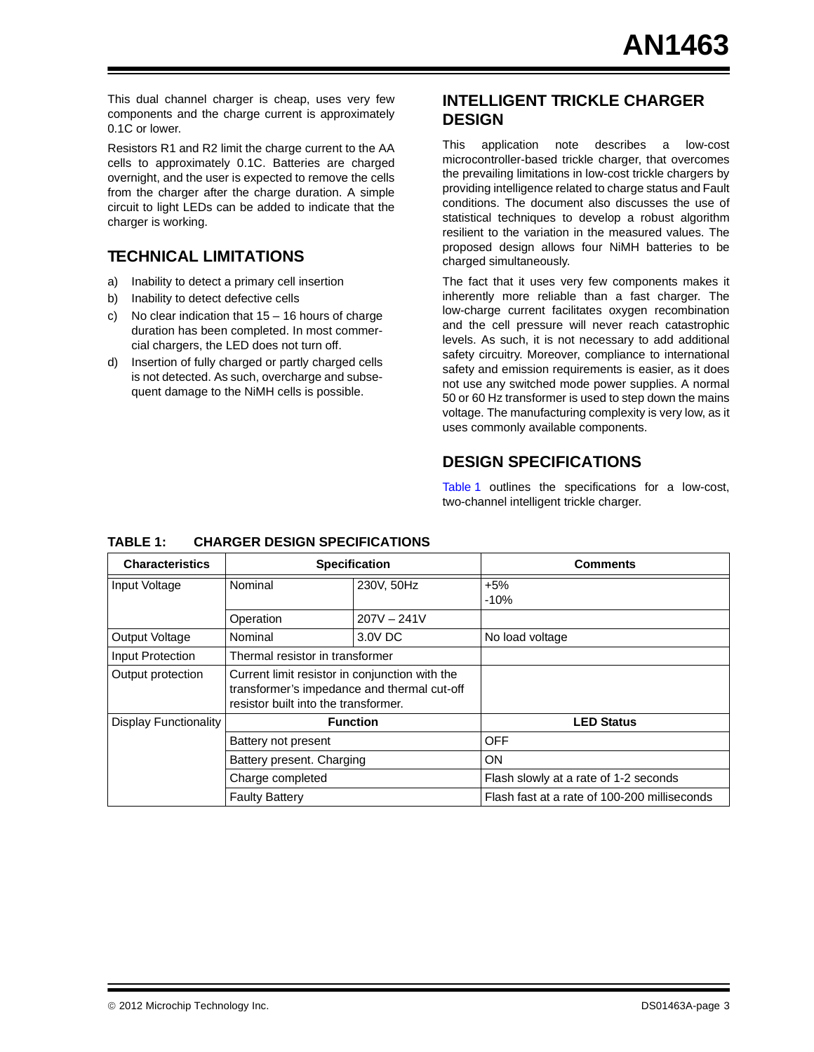This dual channel charger is cheap, uses very few components and the charge current is approximately 0.1C or lower.

Resistors R1 and R2 limit the charge current to the AA cells to approximately 0.1C. Batteries are charged overnight, and the user is expected to remove the cells from the charger after the charge duration. A simple circuit to light LEDs can be added to indicate that the charger is working.

# **TECHNICAL LIMITATIONS**

- a) Inability to detect a primary cell insertion
- b) Inability to detect defective cells
- c) No clear indication that  $15 16$  hours of charge duration has been completed. In most commercial chargers, the LED does not turn off.
- d) Insertion of fully charged or partly charged cells is not detected. As such, overcharge and subsequent damage to the NiMH cells is possible.

# **INTELLIGENT TRICKLE CHARGER DESIGN**

This application note describes a low-cost microcontroller-based trickle charger, that overcomes the prevailing limitations in low-cost trickle chargers by providing intelligence related to charge status and Fault conditions. The document also discusses the use of statistical techniques to develop a robust algorithm resilient to the variation in the measured values. The proposed design allows four NiMH batteries to be charged simultaneously.

The fact that it uses very few components makes it inherently more reliable than a fast charger. The low-charge current facilitates oxygen recombination and the cell pressure will never reach catastrophic levels. As such, it is not necessary to add additional safety circuitry. Moreover, compliance to international safety and emission requirements is easier, as it does not use any switched mode power supplies. A normal 50 or 60 Hz transformer is used to step down the mains voltage. The manufacturing complexity is very low, as it uses commonly available components.

# **DESIGN SPECIFICATIONS**

[Table 1](#page-2-0) outlines the specifications for a low-cost, two-channel intelligent trickle charger.

| <b>Characteristics</b>       | <b>Specification</b>                                                                                                                  |               | <b>Comments</b>                              |  |
|------------------------------|---------------------------------------------------------------------------------------------------------------------------------------|---------------|----------------------------------------------|--|
| Input Voltage                | Nominal<br>230V, 50Hz                                                                                                                 |               | $+5%$<br>$-10%$                              |  |
|                              | Operation                                                                                                                             | $207V - 241V$ |                                              |  |
| Output Voltage               | Nominal                                                                                                                               | 3.0V DC       | No load voltage                              |  |
| Input Protection             | Thermal resistor in transformer                                                                                                       |               |                                              |  |
| Output protection            | Current limit resistor in conjunction with the<br>transformer's impedance and thermal cut-off<br>resistor built into the transformer. |               |                                              |  |
| <b>Display Functionality</b> | <b>Function</b>                                                                                                                       |               | <b>LED Status</b>                            |  |
|                              | Battery not present                                                                                                                   |               | <b>OFF</b>                                   |  |
|                              | Battery present. Charging                                                                                                             |               | ON                                           |  |
|                              | Charge completed                                                                                                                      |               | Flash slowly at a rate of 1-2 seconds        |  |
|                              | <b>Faulty Battery</b>                                                                                                                 |               | Flash fast at a rate of 100-200 milliseconds |  |

### <span id="page-2-0"></span>**TABLE 1: CHARGER DESIGN SPECIFICATIONS**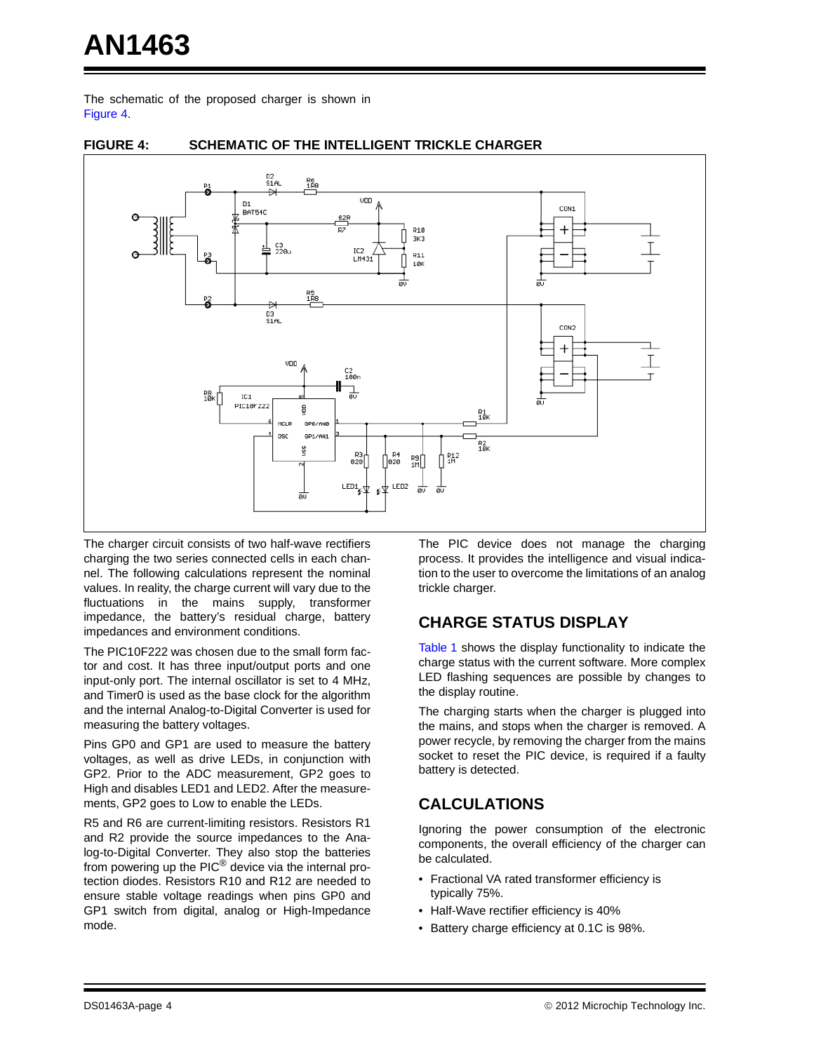The schematic of the proposed charger is shown in [Figure 4.](#page-3-0)



#### <span id="page-3-0"></span>**FIGURE 4: SCHEMATIC OF THE INTELLIGENT TRICKLE CHARGER**

The charger circuit consists of two half-wave rectifiers charging the two series connected cells in each channel. The following calculations represent the nominal values. In reality, the charge current will vary due to the fluctuations in the mains supply, transformer impedance, the battery's residual charge, battery impedances and environment conditions.

The PIC10F222 was chosen due to the small form factor and cost. It has three input/output ports and one input-only port. The internal oscillator is set to 4 MHz, and Timer0 is used as the base clock for the algorithm and the internal Analog-to-Digital Converter is used for measuring the battery voltages.

Pins GP0 and GP1 are used to measure the battery voltages, as well as drive LEDs, in conjunction with GP2. Prior to the ADC measurement, GP2 goes to High and disables LED1 and LED2. After the measurements, GP2 goes to Low to enable the LEDs.

R5 and R6 are current-limiting resistors. Resistors R1 and R2 provide the source impedances to the Analog-to-Digital Converter. They also stop the batteries from powering up the  $\mathsf{PIC}^\circledast$  device via the internal protection diodes. Resistors R10 and R12 are needed to ensure stable voltage readings when pins GP0 and GP1 switch from digital, analog or High-Impedance mode.

The PIC device does not manage the charging process. It provides the intelligence and visual indication to the user to overcome the limitations of an analog trickle charger.

# **CHARGE STATUS DISPLAY**

[Table 1](#page-2-0) shows the display functionality to indicate the charge status with the current software. More complex LED flashing sequences are possible by changes to the display routine.

The charging starts when the charger is plugged into the mains, and stops when the charger is removed. A power recycle, by removing the charger from the mains socket to reset the PIC device, is required if a faulty battery is detected.

# **CALCULATIONS**

Ignoring the power consumption of the electronic components, the overall efficiency of the charger can be calculated.

- Fractional VA rated transformer efficiency is typically 75%.
- Half-Wave rectifier efficiency is 40%
- Battery charge efficiency at 0.1C is 98%.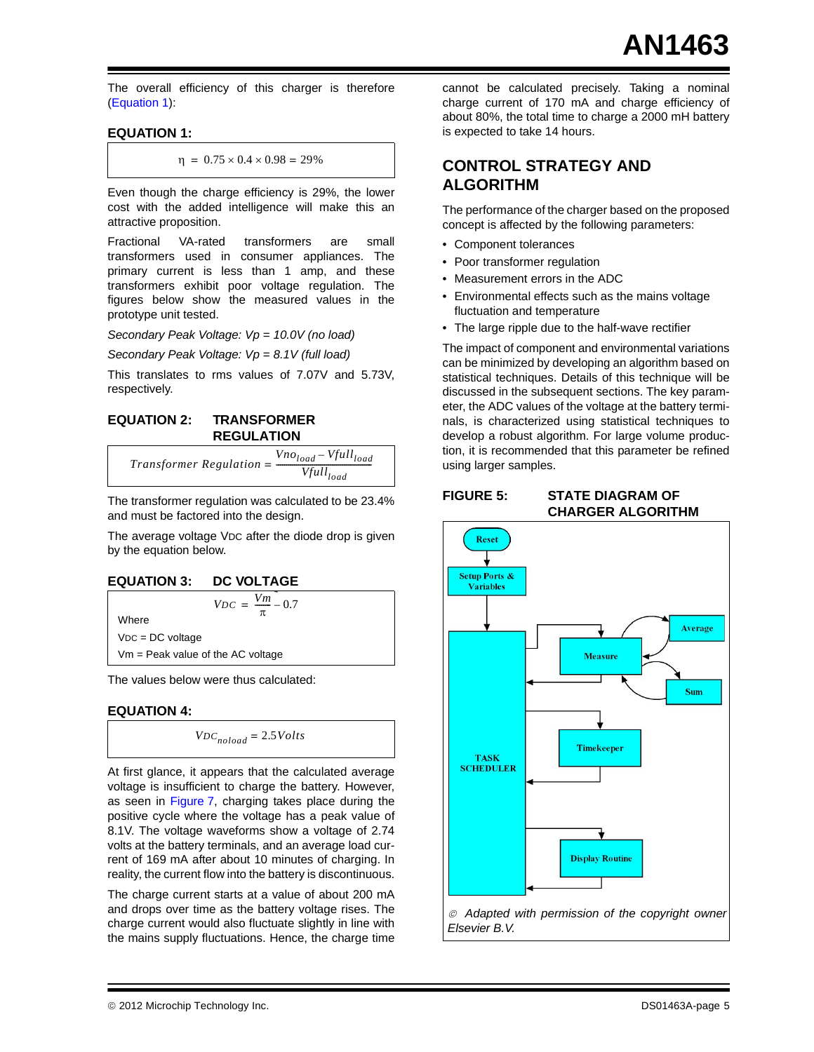The overall efficiency of this charger is therefore ([Equation 1\)](#page-4-0):

#### <span id="page-4-0"></span>**EQUATION 1:**

$$
\eta = 0.75 \times 0.4 \times 0.98 = 29\%
$$

Even though the charge efficiency is 29%, the lower cost with the added intelligence will make this an attractive proposition.

Fractional VA-rated transformers are small transformers used in consumer appliances. The primary current is less than 1 amp, and these transformers exhibit poor voltage regulation. The figures below show the measured values in the prototype unit tested.

*Secondary Peak Voltage: Vp = 10.0V (no load)*

*Secondary Peak Voltage: Vp = 8.1V (full load)*

This translates to rms values of 7.07V and 5.73V, respectively.

#### **EQUATION 2: TRANSFORMER REGULATION**

| $Transformer Regulation =$ | $Vno_{load} - Vfull_{load}$ |
|----------------------------|-----------------------------|
|                            | $Vfull_{load}$              |

The transformer regulation was calculated to be 23.4% and must be factored into the design.

The average voltage VDC after the diode drop is given by the equation below.

#### **EQUATION 3: DC VOLTAGE**

 $VDC = \frac{Vm}{m}$  $=\frac{Vm}{\pi} - 0.7$ **Where**  $VDC = DC$  voltage Vm = Peak value of the AC voltage

The values below were thus calculated:

#### **EQUATION 4:**

$$
\textit{VDC}_{\textit{noload}} = 2.5 \textit{Volts}
$$

At first glance, it appears that the calculated average voltage is insufficient to charge the battery. However, as seen in [Figure 7](#page-7-0), charging takes place during the positive cycle where the voltage has a peak value of 8.1V. The voltage waveforms show a voltage of 2.74 volts at the battery terminals, and an average load current of 169 mA after about 10 minutes of charging. In reality, the current flow into the battery is discontinuous.

The charge current starts at a value of about 200 mA and drops over time as the battery voltage rises. The charge current would also fluctuate slightly in line with the mains supply fluctuations. Hence, the charge time

cannot be calculated precisely. Taking a nominal charge current of 170 mA and charge efficiency of about 80%, the total time to charge a 2000 mH battery is expected to take 14 hours.

# **CONTROL STRATEGY AND ALGORITHM**

The performance of the charger based on the proposed concept is affected by the following parameters:

- Component tolerances
- Poor transformer regulation
- Measurement errors in the ADC
- Environmental effects such as the mains voltage fluctuation and temperature
- The large ripple due to the half-wave rectifier

The impact of component and environmental variations can be minimized by developing an algorithm based on statistical techniques. Details of this technique will be discussed in the subsequent sections. The key parameter, the ADC values of the voltage at the battery terminals, is characterized using statistical techniques to develop a robust algorithm. For large volume production, it is recommended that this parameter be refined using larger samples.

<span id="page-4-1"></span>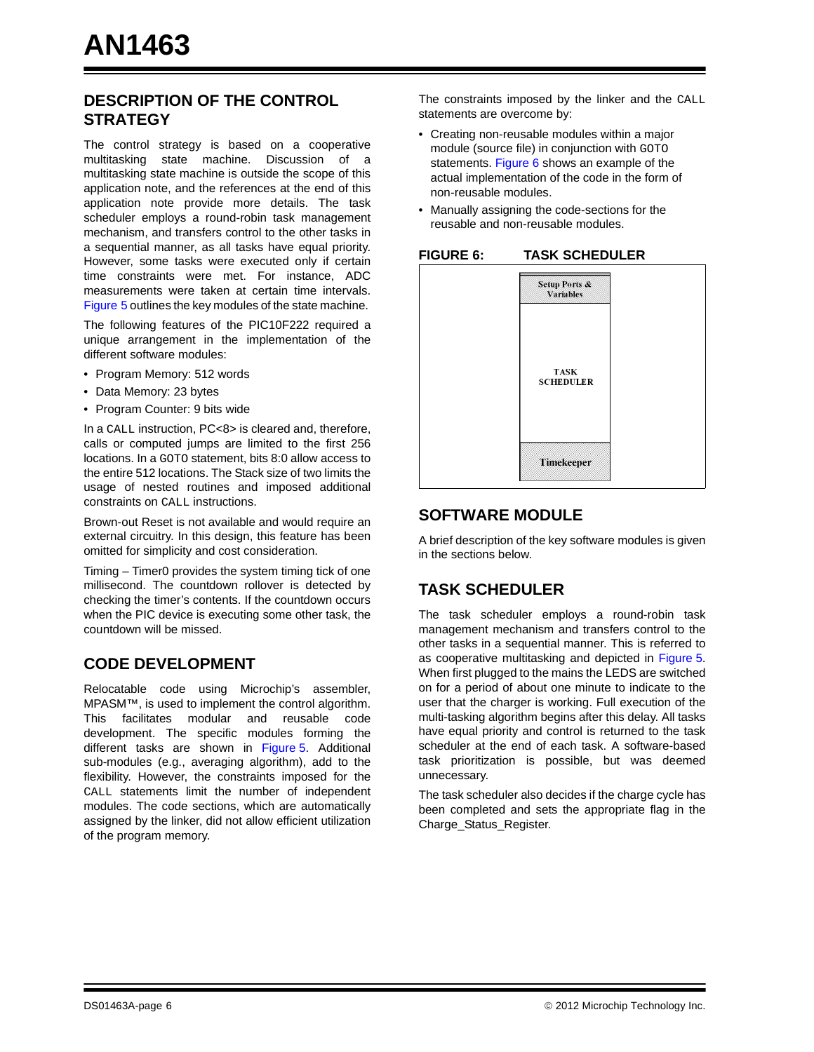# **DESCRIPTION OF THE CONTROL STRATEGY**

The control strategy is based on a cooperative multitasking state machine. Discussion of a multitasking state machine is outside the scope of this application note, and the references at the end of this application note provide more details. The task scheduler employs a round-robin task management mechanism, and transfers control to the other tasks in a sequential manner, as all tasks have equal priority. However, some tasks were executed only if certain time constraints were met. For instance, ADC measurements were taken at certain time intervals. [Figure 5](#page-4-1) outlines the key modules of the state machine.

The following features of the PIC10F222 required a unique arrangement in the implementation of the different software modules:

- Program Memory: 512 words
- Data Memory: 23 bytes
- Program Counter: 9 bits wide

In a CALL instruction, PC<8> is cleared and, therefore, calls or computed jumps are limited to the first 256 locations. In a GOTO statement, bits 8:0 allow access to the entire 512 locations. The Stack size of two limits the usage of nested routines and imposed additional constraints on CALL instructions.

Brown-out Reset is not available and would require an external circuitry. In this design, this feature has been omitted for simplicity and cost consideration.

Timing – Timer0 provides the system timing tick of one millisecond. The countdown rollover is detected by checking the timer's contents. If the countdown occurs when the PIC device is executing some other task, the countdown will be missed.

# **CODE DEVELOPMENT**

Relocatable code using Microchip's assembler, MPASM™, is used to implement the control algorithm. This facilitates modular and reusable code development. The specific modules forming the different tasks are shown in [Figure 5](#page-4-1). Additional sub-modules (e.g., averaging algorithm), add to the flexibility. However, the constraints imposed for the CALL statements limit the number of independent modules. The code sections, which are automatically assigned by the linker, did not allow efficient utilization of the program memory.

The constraints imposed by the linker and the CALL statements are overcome by:

- Creating non-reusable modules within a major module (source file) in conjunction with GOTO statements. [Figure 6](#page-5-0) shows an example of the actual implementation of the code in the form of non-reusable modules.
- Manually assigning the code-sections for the reusable and non-reusable modules.

<span id="page-5-0"></span>



## **SOFTWARE MODULE**

A brief description of the key software modules is given in the sections below.

# **TASK SCHEDULER**

The task scheduler employs a round-robin task management mechanism and transfers control to the other tasks in a sequential manner. This is referred to as cooperative multitasking and depicted in [Figure 5](#page-4-1). When first plugged to the mains the LEDS are switched on for a period of about one minute to indicate to the user that the charger is working. Full execution of the multi-tasking algorithm begins after this delay. All tasks have equal priority and control is returned to the task scheduler at the end of each task. A software-based task prioritization is possible, but was deemed unnecessary.

The task scheduler also decides if the charge cycle has been completed and sets the appropriate flag in the Charge\_Status\_Register.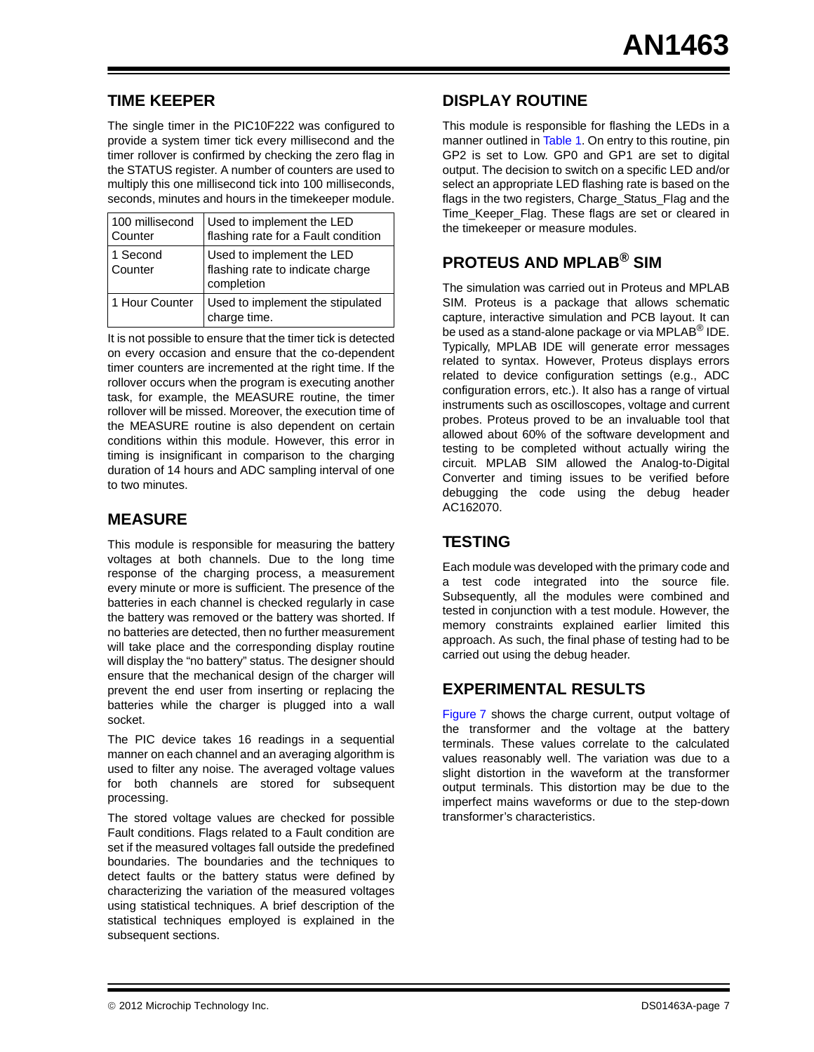# **TIME KEEPER**

The single timer in the PIC10F222 was configured to provide a system timer tick every millisecond and the timer rollover is confirmed by checking the zero flag in the STATUS register. A number of counters are used to multiply this one millisecond tick into 100 milliseconds, seconds, minutes and hours in the timekeeper module.

| 100 millisecond<br>Counter | Used to implement the LED<br>flashing rate for a Fault condition            |
|----------------------------|-----------------------------------------------------------------------------|
| 1 Second<br>Counter        | Used to implement the LED<br>flashing rate to indicate charge<br>completion |
| 1 Hour Counter             | Used to implement the stipulated<br>charge time.                            |

It is not possible to ensure that the timer tick is detected on every occasion and ensure that the co-dependent timer counters are incremented at the right time. If the rollover occurs when the program is executing another task, for example, the MEASURE routine, the timer rollover will be missed. Moreover, the execution time of the MEASURE routine is also dependent on certain conditions within this module. However, this error in timing is insignificant in comparison to the charging duration of 14 hours and ADC sampling interval of one to two minutes.

# **MEASURE**

This module is responsible for measuring the battery voltages at both channels. Due to the long time response of the charging process, a measurement every minute or more is sufficient. The presence of the batteries in each channel is checked regularly in case the battery was removed or the battery was shorted. If no batteries are detected, then no further measurement will take place and the corresponding display routine will display the "no battery" status. The designer should ensure that the mechanical design of the charger will prevent the end user from inserting or replacing the batteries while the charger is plugged into a wall socket.

The PIC device takes 16 readings in a sequential manner on each channel and an averaging algorithm is used to filter any noise. The averaged voltage values for both channels are stored for subsequent processing.

The stored voltage values are checked for possible Fault conditions. Flags related to a Fault condition are set if the measured voltages fall outside the predefined boundaries. The boundaries and the techniques to detect faults or the battery status were defined by characterizing the variation of the measured voltages using statistical techniques. A brief description of the statistical techniques employed is explained in the subsequent sections.

# **DISPLAY ROUTINE**

This module is responsible for flashing the LEDs in a manner outlined in [Table 1.](#page-2-0) On entry to this routine, pin GP2 is set to Low. GP0 and GP1 are set to digital output. The decision to switch on a specific LED and/or select an appropriate LED flashing rate is based on the flags in the two registers, Charge\_Status\_Flag and the Time\_Keeper\_Flag. These flags are set or cleared in the timekeeper or measure modules.

# **PROTEUS AND MPLAB® SIM**

The simulation was carried out in Proteus and MPLAB SIM. Proteus is a package that allows schematic capture, interactive simulation and PCB layout. It can be used as a stand-alone package or via MPLAB<sup>®</sup> IDE. Typically, MPLAB IDE will generate error messages related to syntax. However, Proteus displays errors related to device configuration settings (e.g., ADC configuration errors, etc.). It also has a range of virtual instruments such as oscilloscopes, voltage and current probes. Proteus proved to be an invaluable tool that allowed about 60% of the software development and testing to be completed without actually wiring the circuit. MPLAB SIM allowed the Analog-to-Digital Converter and timing issues to be verified before debugging the code using the debug header AC162070.

# **TESTING**

Each module was developed with the primary code and a test code integrated into the source file. Subsequently, all the modules were combined and tested in conjunction with a test module. However, the memory constraints explained earlier limited this approach. As such, the final phase of testing had to be carried out using the debug header.

# **EXPERIMENTAL RESULTS**

[Figure 7](#page-7-0) shows the charge current, output voltage of the transformer and the voltage at the battery terminals. These values correlate to the calculated values reasonably well. The variation was due to a slight distortion in the waveform at the transformer output terminals. This distortion may be due to the imperfect mains waveforms or due to the step-down transformer's characteristics.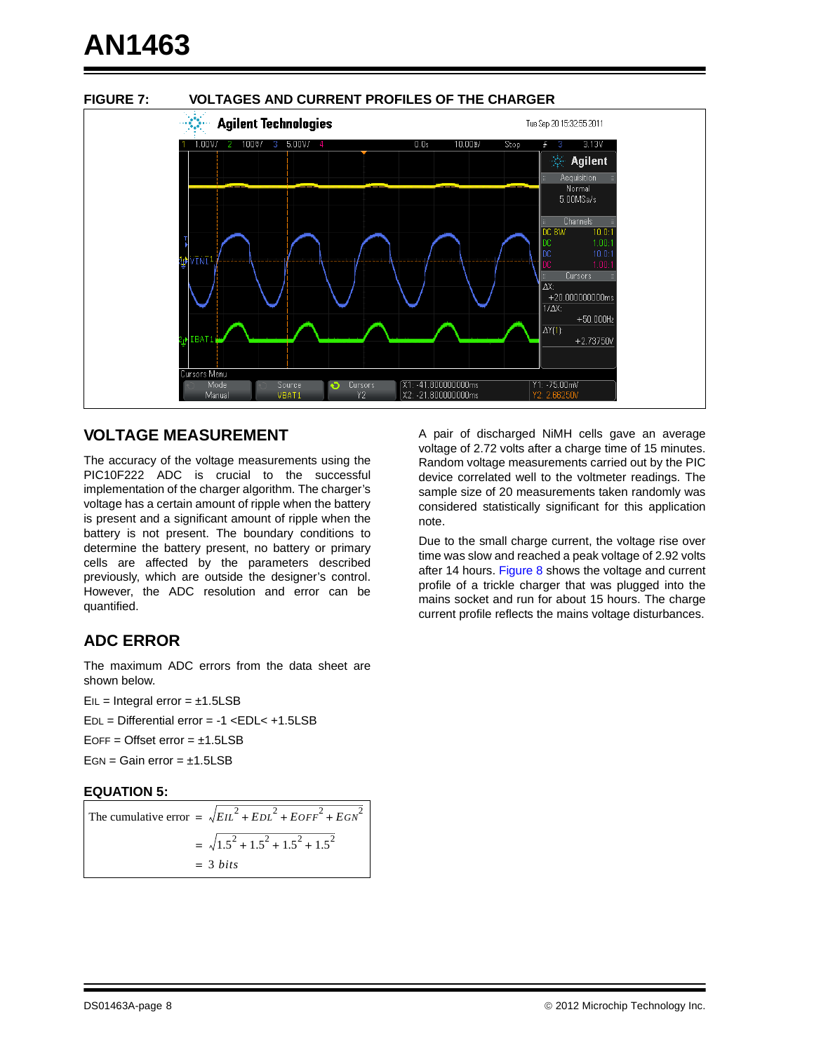# **AN1463**

<span id="page-7-0"></span>

# **VOLTAGE MEASUREMENT**

The accuracy of the voltage measurements using the PIC10F222 ADC is crucial to the successful implementation of the charger algorithm. The charger's voltage has a certain amount of ripple when the battery is present and a significant amount of ripple when the battery is not present. The boundary conditions to determine the battery present, no battery or primary cells are affected by the parameters described previously, which are outside the designer's control. However, the ADC resolution and error can be quantified.

# **ADC ERROR**

The maximum ADC errors from the data sheet are shown below.

 $EIL = Integral error = ±1.5LSB$ 

EDL = Differential error = -1 <EDL< +1.5LSB

 $E$ OFF = Offset error =  $\pm$ 1.5LSB

 $EGN = Gain error = ±1.5LSB$ 

#### **EQUATION 5:**

The cumulative error = 
$$
\sqrt{EIL^2 + EDL^2 + EOFF^2 + EGN^2}
$$
  
=  $\sqrt{1.5^2 + 1.5^2 + 1.5^2 + 1.5^2}$   
= 3 bits

A pair of discharged NiMH cells gave an average voltage of 2.72 volts after a charge time of 15 minutes. Random voltage measurements carried out by the PIC device correlated well to the voltmeter readings. The sample size of 20 measurements taken randomly was considered statistically significant for this application note.

Due to the small charge current, the voltage rise over time was slow and reached a peak voltage of 2.92 volts after 14 hours. [Figure 8](#page-8-0) shows the voltage and current profile of a trickle charger that was plugged into the mains socket and run for about 15 hours. The charge current profile reflects the mains voltage disturbances.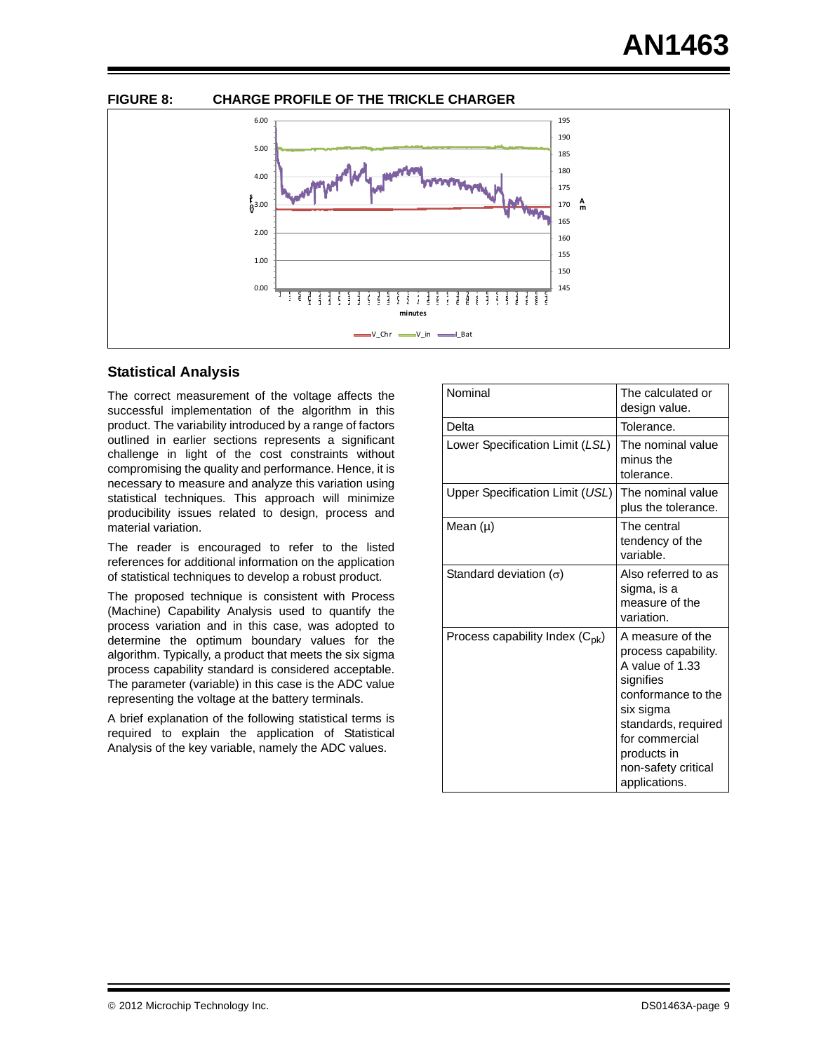<span id="page-8-0"></span>

#### **Statistical Analysis**

The correct measurement of the voltage affects the successful implementation of the algorithm in this product. The variability introduced by a range of factors outlined in earlier sections represents a significant challenge in light of the cost constraints without compromising the quality and performance. Hence, it is necessary to measure and analyze this variation using statistical techniques. This approach will minimize producibility issues related to design, process and material variation.

The reader is encouraged to refer to the listed references for additional information on the application of statistical techniques to develop a robust product.

The proposed technique is consistent with Process (Machine) Capability Analysis used to quantify the process variation and in this case, was adopted to determine the optimum boundary values for the algorithm. Typically, a product that meets the six sigma process capability standard is considered acceptable. The parameter (variable) in this case is the ADC value representing the voltage at the battery terminals.

A brief explanation of the following statistical terms is required to explain the application of Statistical Analysis of the key variable, namely the ADC values.

| Nominal                                    | The calculated or<br>design value.                                                                                                                                                                         |
|--------------------------------------------|------------------------------------------------------------------------------------------------------------------------------------------------------------------------------------------------------------|
| Delta                                      | Tolerance.                                                                                                                                                                                                 |
| Lower Specification Limit (LSL)            | The nominal value<br>minus the<br>tolerance.                                                                                                                                                               |
| Upper Specification Limit (USL)            | The nominal value<br>plus the tolerance.                                                                                                                                                                   |
| Mean $(\mu)$                               | The central<br>tendency of the<br>variable.                                                                                                                                                                |
| Standard deviation $(\sigma)$              | Also referred to as<br>sigma, is a<br>measure of the<br>variation.                                                                                                                                         |
| Process capability Index $(C_{\text{pk}})$ | A measure of the<br>process capability.<br>A value of 1.33<br>signifies<br>conformance to the<br>six sigma<br>standards, required<br>for commercial<br>products in<br>non-safety critical<br>applications. |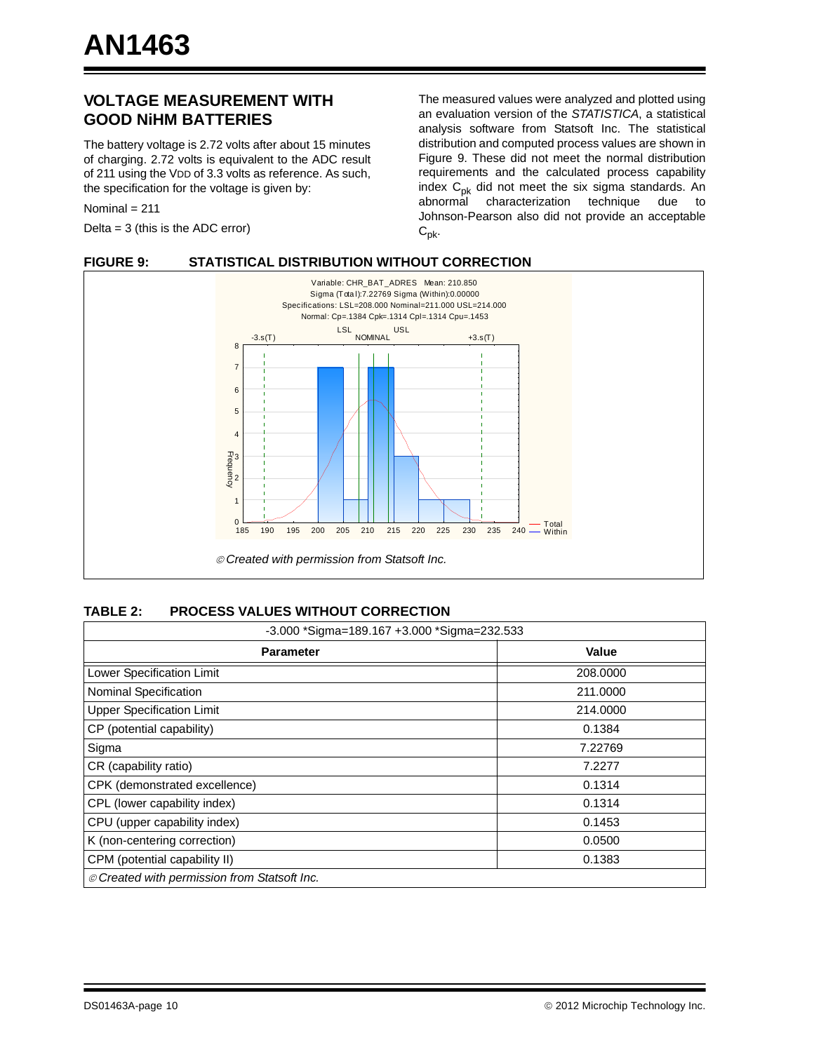## **VOLTAGE MEASUREMENT WITH GOOD NiHM BATTERIES**

The battery voltage is 2.72 volts after about 15 minutes of charging. 2.72 volts is equivalent to the ADC result of 211 using the VDD of 3.3 volts as reference. As such, the specification for the voltage is given by:

Nominal = 211

Delta =  $3$  (this is the ADC error)

The measured values were analyzed and plotted using an evaluation version of the *STATISTICA*, a statistical analysis software from Statsoft Inc. The statistical distribution and computed process values are shown in Figure 9. These did not meet the normal distribution requirements and the calculated process capability index  $C_{pk}$  did not meet the six sigma standards. An abnormal characterization technique due to characterization technique due to Johnson-Pearson also did not provide an acceptable  $C_{pk}$ .

#### <span id="page-9-0"></span>**FIGURE 9: STATISTICAL DISTRIBUTION WITHOUT CORRECTION**



#### **TABLE 2: PROCESS VALUES WITHOUT CORRECTION**

| -3.000 *Sigma=189.167 +3.000 *Sigma=232.533  |              |  |  |  |
|----------------------------------------------|--------------|--|--|--|
| <b>Parameter</b>                             | <b>Value</b> |  |  |  |
| Lower Specification Limit                    | 208.0000     |  |  |  |
| Nominal Specification                        | 211.0000     |  |  |  |
| <b>Upper Specification Limit</b>             | 214,0000     |  |  |  |
| CP (potential capability)                    | 0.1384       |  |  |  |
| Sigma                                        | 7.22769      |  |  |  |
| CR (capability ratio)                        | 7.2277       |  |  |  |
| CPK (demonstrated excellence)                | 0.1314       |  |  |  |
| CPL (lower capability index)                 | 0.1314       |  |  |  |
| CPU (upper capability index)                 | 0.1453       |  |  |  |
| K (non-centering correction)                 | 0.0500       |  |  |  |
| CPM (potential capability II)                | 0.1383       |  |  |  |
| © Created with permission from Statsoft Inc. |              |  |  |  |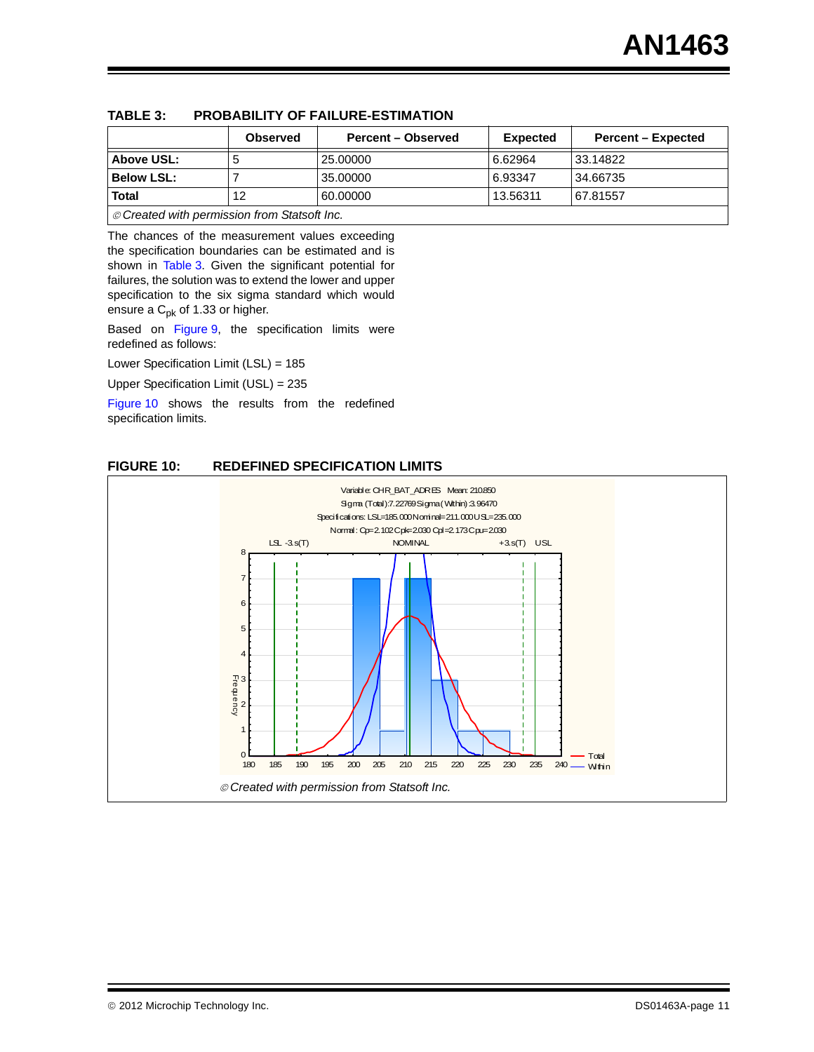| .                                            |                 |                           |                 |                           |  |
|----------------------------------------------|-----------------|---------------------------|-----------------|---------------------------|--|
|                                              | <b>Observed</b> | <b>Percent - Observed</b> | <b>Expected</b> | <b>Percent – Expected</b> |  |
| Above USL:                                   |                 | 25.00000                  | 6.62964         | 33.14822                  |  |
| <b>Below LSL:</b>                            |                 | 35,00000                  | 6.93347         | 34.66735                  |  |
| <b>Total</b>                                 | 12              | 60.00000                  | 13.56311        | 67.81557                  |  |
| © Created with permission from Statsoft Inc. |                 |                           |                 |                           |  |

<span id="page-10-0"></span>**TABLE 3: PROBABILITY OF FAILURE-ESTIMATION**

The chances of the measurement values exceeding the specification boundaries can be estimated and is shown in [Table 3.](#page-10-0) Given the significant potential for failures, the solution was to extend the lower and upper specification to the six sigma standard which would ensure a  $C_{pk}$  of 1.33 or higher.

Based on [Figure 9,](#page-9-0) the specification limits were redefined as follows:

Lower Specification Limit (LSL) = 185

Upper Specification Limit (USL) = 235

[Figure 10](#page-10-1) shows the results from the redefined specification limits.

<span id="page-10-1"></span>

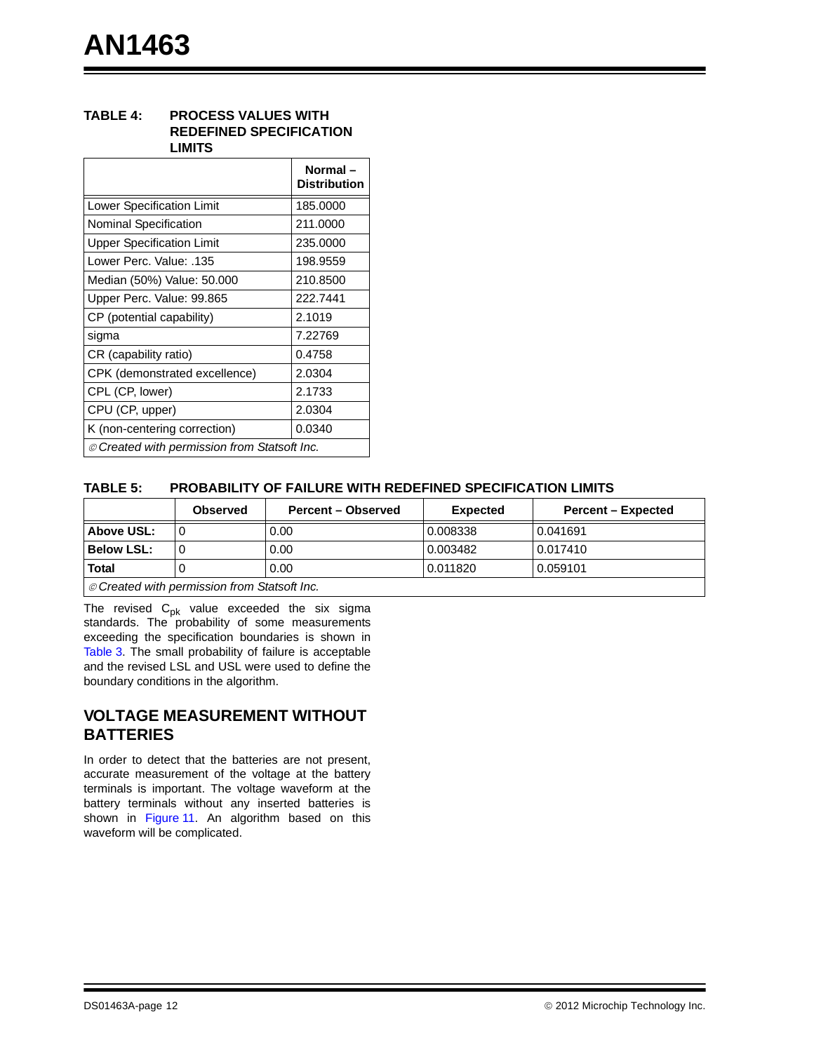#### **TABLE 4: PROCESS VALUES WITH REDEFINED SPECIFICATION LIMITS**

|                                              | Normal-<br><b>Distribution</b> |  |  |
|----------------------------------------------|--------------------------------|--|--|
| Lower Specification Limit                    | 185.0000                       |  |  |
| Nominal Specification                        | 211.0000                       |  |  |
| <b>Upper Specification Limit</b>             | 235.0000                       |  |  |
| Lower Perc. Value: .135                      | 198.9559                       |  |  |
| Median (50%) Value: 50.000                   | 210.8500                       |  |  |
| Upper Perc. Value: 99.865                    | 222.7441                       |  |  |
| CP (potential capability)                    | 2.1019                         |  |  |
| sigma                                        | 7.22769                        |  |  |
| CR (capability ratio)                        | 0.4758                         |  |  |
| CPK (demonstrated excellence)                | 2.0304                         |  |  |
| CPL (CP, lower)                              | 2.1733                         |  |  |
| CPU (CP, upper)                              | 2.0304                         |  |  |
| K (non-centering correction)                 | 0.0340                         |  |  |
| © Created with permission from Statsoft Inc. |                                |  |  |

#### **TABLE 5: PROBABILITY OF FAILURE WITH REDEFINED SPECIFICATION LIMITS**

|                                              | <b>Observed</b> | <b>Percent - Observed</b> | <b>Expected</b> | <b>Percent – Expected</b> |
|----------------------------------------------|-----------------|---------------------------|-----------------|---------------------------|
| <b>Above USL:</b>                            |                 | 0.00                      | 0.008338        | 0.041691                  |
| <b>Below LSL:</b>                            |                 | 0.00                      | 0.003482        | 0.017410                  |
| Total                                        |                 | 0.00                      | 0.011820        | 0.059101                  |
| © Created with permission from Statsoft Inc. |                 |                           |                 |                           |

The revised C<sub>pk</sub> value exceeded the six sigma standards. The probability of some measurements exceeding the specification boundaries is shown in [Table 3.](#page-10-0) The small probability of failure is acceptable and the revised LSL and USL were used to define the boundary conditions in the algorithm.

# **VOLTAGE MEASUREMENT WITHOUT BATTERIES**

In order to detect that the batteries are not present, accurate measurement of the voltage at the battery terminals is important. The voltage waveform at the battery terminals without any inserted batteries is shown in [Figure 11.](#page-12-0) An algorithm based on this waveform will be complicated.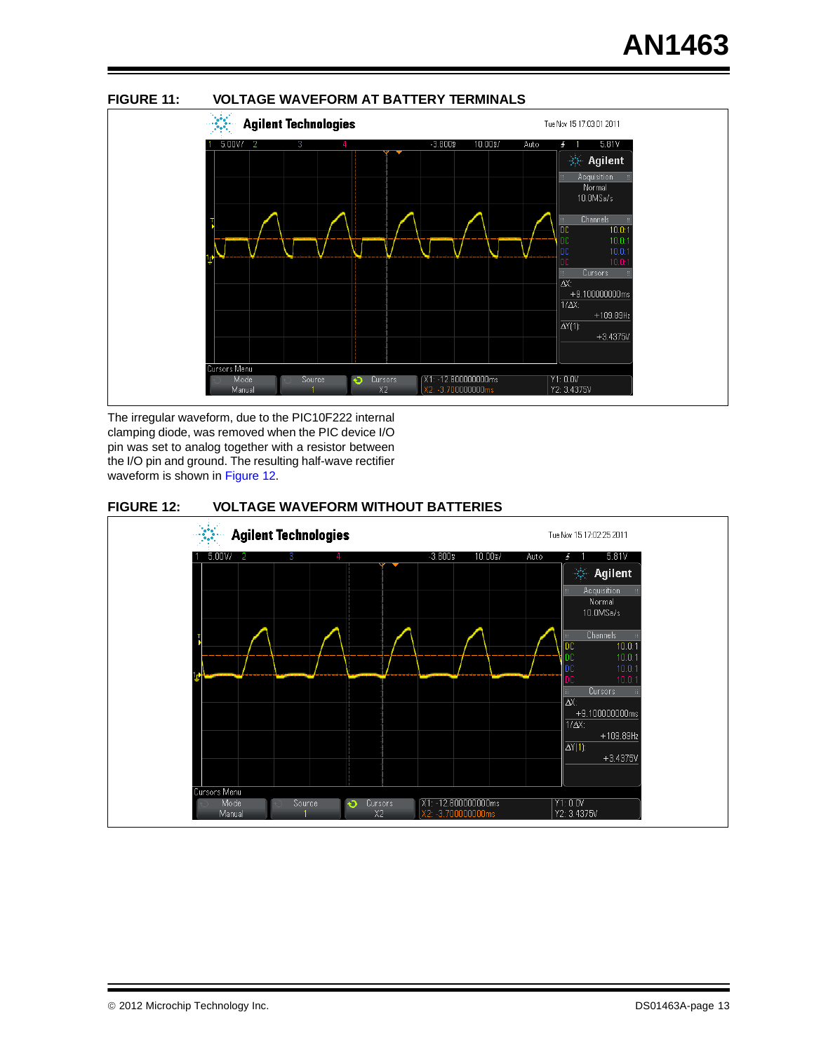<span id="page-12-0"></span>

The irregular waveform, due to the PIC10F222 internal clamping diode, was removed when the PIC device I/O pin was set to analog together with a resistor between the I/O pin and ground. The resulting half-wave rectifier waveform is shown in [Figure 12](#page-12-1).

<span id="page-12-1"></span>

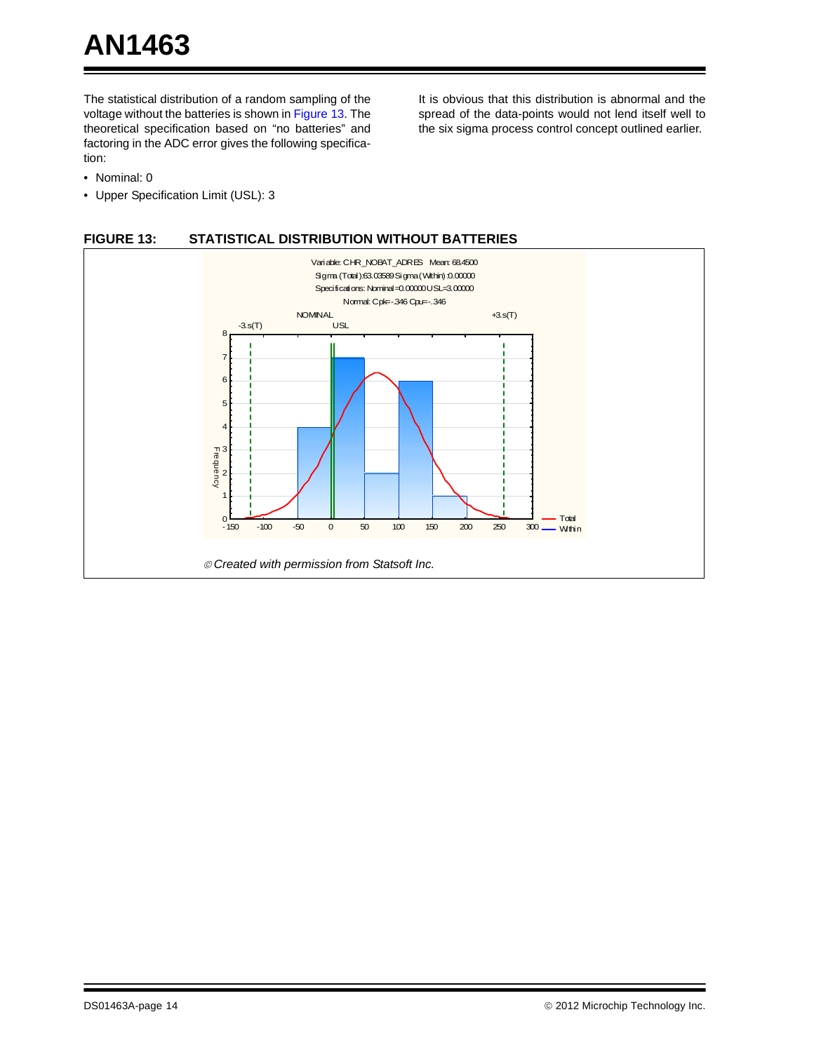The statistical distribution of a random sampling of the voltage without the batteries is shown in [Figure 13.](#page-13-0) The theoretical specification based on "no batteries" and factoring in the ADC error gives the following specification:

It is obvious that this distribution is abnormal and the spread of the data-points would not lend itself well to the six sigma process control concept outlined earlier.

- Nominal: 0
- Upper Specification Limit (USL): 3

<span id="page-13-0"></span>

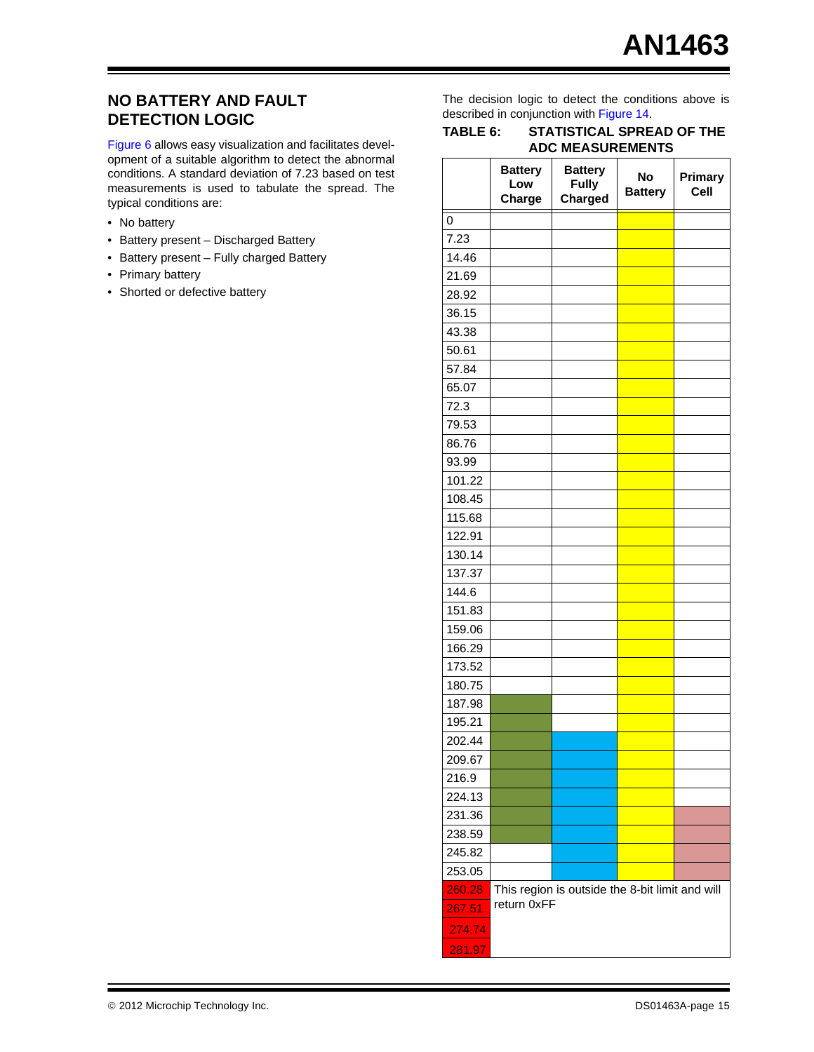# **NO BATTERY AND FAULT DETECTION LOGIC**

[Figure 6](#page-14-0) allows easy visualization and facilitates development of a suitable algorithm to detect the abnormal conditions. A standard deviation of 7.23 based on test measurements is used to tabulate the spread. The typical conditions are:

- No battery
- Battery present Discharged Battery
- Battery present Fully charged Battery
- Primary battery
- Shorted or defective battery

The decision logic to detect the conditions above is described in conjunction with [Figure 14](#page-15-0).

#### <span id="page-14-0"></span>**TABLE 6: STATISTICAL SPREAD OF THE ADC MEASUREMENTS**

|        | <b>Battery</b><br>Low<br>Charge | <b>Battery</b><br><b>Fully</b><br>Charged       | <b>No</b><br><b>Battery</b> | <b>Primary</b><br>Cell |
|--------|---------------------------------|-------------------------------------------------|-----------------------------|------------------------|
| 0      |                                 |                                                 |                             |                        |
| 7.23   |                                 |                                                 |                             |                        |
| 14.46  |                                 |                                                 |                             |                        |
| 21.69  |                                 |                                                 |                             |                        |
| 28.92  |                                 |                                                 |                             |                        |
| 36.15  |                                 |                                                 |                             |                        |
| 43.38  |                                 |                                                 |                             |                        |
| 50.61  |                                 |                                                 |                             |                        |
| 57.84  |                                 |                                                 |                             |                        |
| 65.07  |                                 |                                                 |                             |                        |
| 72.3   |                                 |                                                 |                             |                        |
| 79.53  |                                 |                                                 |                             |                        |
| 86.76  |                                 |                                                 |                             |                        |
| 93.99  |                                 |                                                 |                             |                        |
| 101.22 |                                 |                                                 |                             |                        |
| 108.45 |                                 |                                                 |                             |                        |
| 115.68 |                                 |                                                 |                             |                        |
| 122.91 |                                 |                                                 |                             |                        |
| 130.14 |                                 |                                                 |                             |                        |
| 137.37 |                                 |                                                 |                             |                        |
| 144.6  |                                 |                                                 |                             |                        |
| 151.83 |                                 |                                                 |                             |                        |
| 159.06 |                                 |                                                 |                             |                        |
| 166.29 |                                 |                                                 |                             |                        |
| 173.52 |                                 |                                                 |                             |                        |
| 180.75 |                                 |                                                 |                             |                        |
| 187.98 |                                 |                                                 |                             |                        |
| 195.21 |                                 |                                                 |                             |                        |
| 202.44 |                                 |                                                 |                             |                        |
| 209.67 |                                 |                                                 |                             |                        |
| 216.9  |                                 |                                                 |                             |                        |
| 224.13 |                                 |                                                 |                             |                        |
| 231.36 |                                 |                                                 |                             |                        |
| 238.59 |                                 |                                                 |                             |                        |
| 245.82 |                                 |                                                 |                             |                        |
| 253.05 |                                 |                                                 |                             |                        |
| 260.28 |                                 | This region is outside the 8-bit limit and will |                             |                        |
| 267.51 | return 0xFF                     |                                                 |                             |                        |
| 274.74 |                                 |                                                 |                             |                        |
| 281.97 |                                 |                                                 |                             |                        |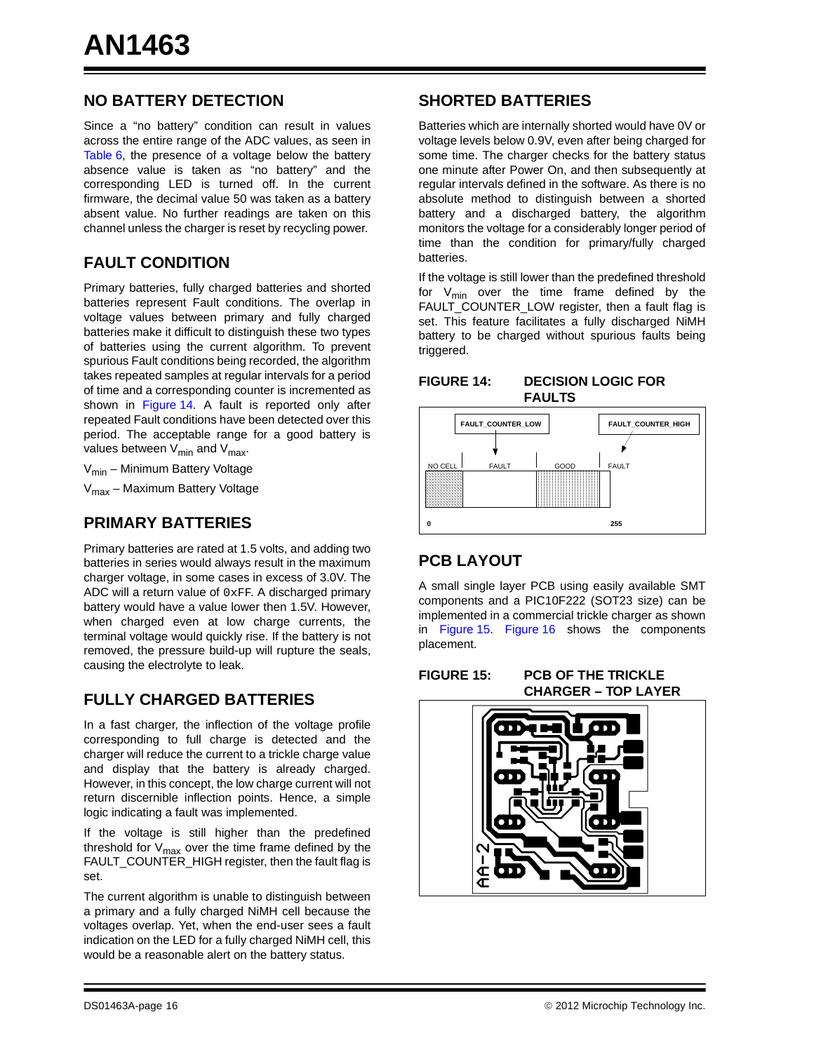# **NO BATTERY DETECTION**

Since a "no battery" condition can result in values across the entire range of the ADC values, as seen in [Table 6,](#page-14-0) the presence of a voltage below the battery absence value is taken as "no battery" and the corresponding LED is turned off. In the current firmware, the decimal value 50 was taken as a battery absent value. No further readings are taken on this channel unless the charger is reset by recycling power.

# **FAULT CONDITION**

Primary batteries, fully charged batteries and shorted batteries represent Fault conditions. The overlap in voltage values between primary and fully charged batteries make it difficult to distinguish these two types of batteries using the current algorithm. To prevent spurious Fault conditions being recorded, the algorithm takes repeated samples at regular intervals for a period of time and a corresponding counter is incremented as shown in [Figure 14](#page-15-0). A fault is reported only after repeated Fault conditions have been detected over this period. The acceptable range for a good battery is values between  $V_{min}$  and  $V_{max}$ .

V<sub>min</sub> – Minimum Battery Voltage

V<sub>max</sub> – Maximum Battery Voltage

# **PRIMARY BATTERIES**

Primary batteries are rated at 1.5 volts, and adding two batteries in series would always result in the maximum charger voltage, in some cases in excess of 3.0V. The ADC will a return value of  $0xFF$ . A discharged primary battery would have a value lower then 1.5V. However, when charged even at low charge currents, the terminal voltage would quickly rise. If the battery is not removed, the pressure build-up will rupture the seals, causing the electrolyte to leak.

# **FULLY CHARGED BATTERIES**

In a fast charger, the inflection of the voltage profile corresponding to full charge is detected and the charger will reduce the current to a trickle charge value and display that the battery is already charged. However, in this concept, the low charge current will not return discernible inflection points. Hence, a simple logic indicating a fault was implemented.

If the voltage is still higher than the predefined threshold for  $V_{\text{max}}$  over the time frame defined by the FAULT\_COUNTER\_HIGH register, then the fault flag is set.

The current algorithm is unable to distinguish between a primary and a fully charged NiMH cell because the voltages overlap. Yet, when the end-user sees a fault indication on the LED for a fully charged NiMH cell, this would be a reasonable alert on the battery status.

# **SHORTED BATTERIES**

Batteries which are internally shorted would have 0V or voltage levels below 0.9V, even after being charged for some time. The charger checks for the battery status one minute after Power On, and then subsequently at regular intervals defined in the software. As there is no absolute method to distinguish between a shorted battery and a discharged battery, the algorithm monitors the voltage for a considerably longer period of time than the condition for primary/fully charged batteries.

If the voltage is still lower than the predefined threshold for  $V_{\text{min}}$  over the time frame defined by the FAULT\_COUNTER\_LOW register, then a fault flag is set. This feature facilitates a fully discharged NiMH battery to be charged without spurious faults being triggered.

<span id="page-15-0"></span>



# **PCB LAYOUT**

A small single layer PCB using easily available SMT components and a PIC10F222 (SOT23 size) can be implemented in a commercial trickle charger as shown in [Figure 15.](#page-15-1) [Figure 16](#page-16-1) shows the components placement.

<span id="page-15-1"></span>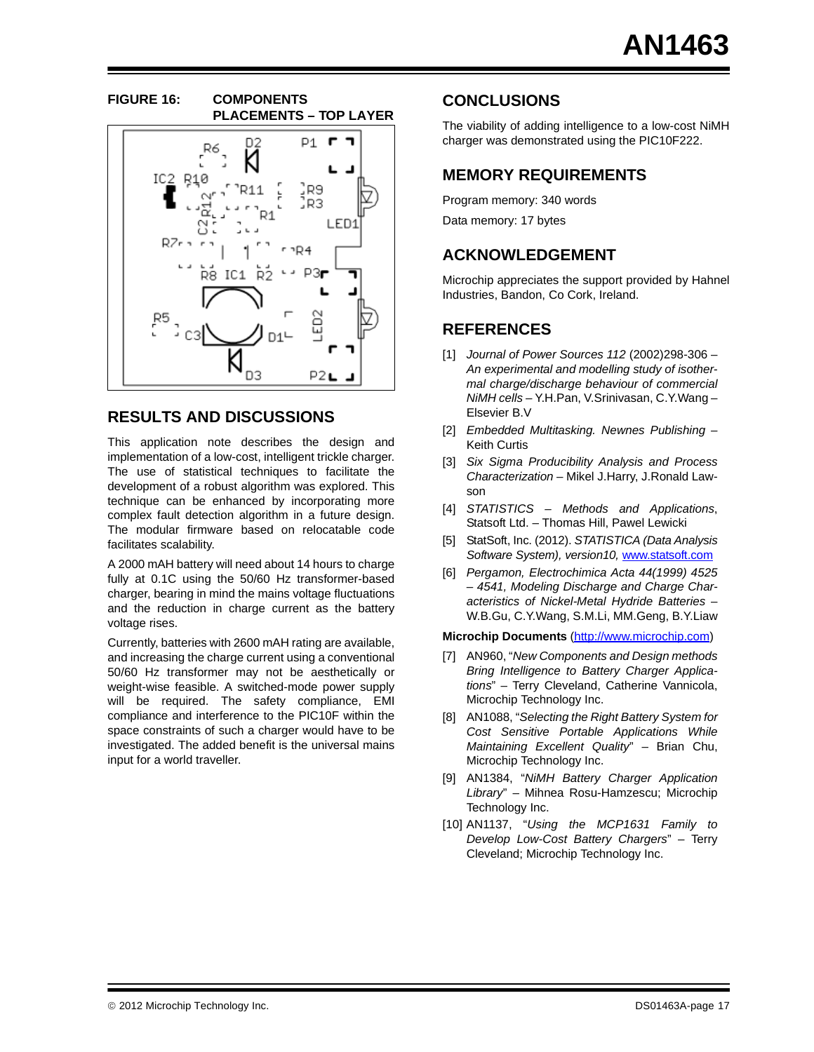<span id="page-16-1"></span>

# **RESULTS AND DISCUSSIONS**

This application note describes the design and implementation of a low-cost, intelligent trickle charger. The use of statistical techniques to facilitate the development of a robust algorithm was explored. This technique can be enhanced by incorporating more complex fault detection algorithm in a future design. The modular firmware based on relocatable code facilitates scalability.

A 2000 mAH battery will need about 14 hours to charge fully at 0.1C using the 50/60 Hz transformer-based charger, bearing in mind the mains voltage fluctuations and the reduction in charge current as the battery voltage rises.

Currently, batteries with 2600 mAH rating are available, and increasing the charge current using a conventional 50/60 Hz transformer may not be aesthetically or weight-wise feasible. A switched-mode power supply will be required. The safety compliance, EMI compliance and interference to the PIC10F within the space constraints of such a charger would have to be investigated. The added benefit is the universal mains input for a world traveller.

# **CONCLUSIONS**

The viability of adding intelligence to a low-cost NiMH charger was demonstrated using the PIC10F222.

# **MEMORY REQUIREMENTS**

Program memory: 340 words Data memory: 17 bytes

# **ACKNOWLEDGEMENT**

Microchip appreciates the support provided by Hahnel Industries, Bandon, Co Cork, Ireland.

# <span id="page-16-0"></span>**REFERENCES**

- [1] *Journal of Power Sources 112* (2002)298-306 *An experimental and modelling study of isothermal charge/discharge behaviour of commercial NiMH cells –* Y.H.Pan, V.Srinivasan, C.Y.Wang – Elsevier B.V
- [2] *Embedded Multitasking. Newnes Publishing –* Keith Curtis
- [3] *Six Sigma Producibility Analysis and Process Characterization* – Mikel J.Harry, J.Ronald Lawson
- [4] *STATISTICS Methods and Applications*, Statsoft Ltd. – Thomas Hill, Pawel Lewicki
- [5] StatSoft, Inc. (2012). *STATISTICA (Data Analysis Software System), version10,* www.statsoft.com
- [6] *Pergamon, Electrochimica Acta 44(1999) 4525 – 4541, Modeling Discharge and Charge Characteristics of Nickel-Metal Hydride Batteries* – W.B.Gu, C.Y.Wang, S.M.Li, MM.Geng, B.Y.Liaw

**Microchip Documents** (http://www.microchip.com)

- [7] AN960, "*New Components and Design methods Bring Intelligence to Battery Charger Applications*" – Terry Cleveland, Catherine Vannicola, Microchip Technology Inc.
- [8] AN1088, "*Selecting the Right Battery System for Cost Sensitive Portable Applications While Maintaining Excellent Quality*" – Brian Chu, Microchip Technology Inc.
- [9] AN1384, "*NiMH Battery Charger Application Library*" – Mihnea Rosu-Hamzescu; Microchip Technology Inc.
- [10] AN1137, "*Using the MCP1631 Family to Develop Low-Cost Battery Chargers*" – Terry Cleveland; Microchip Technology Inc.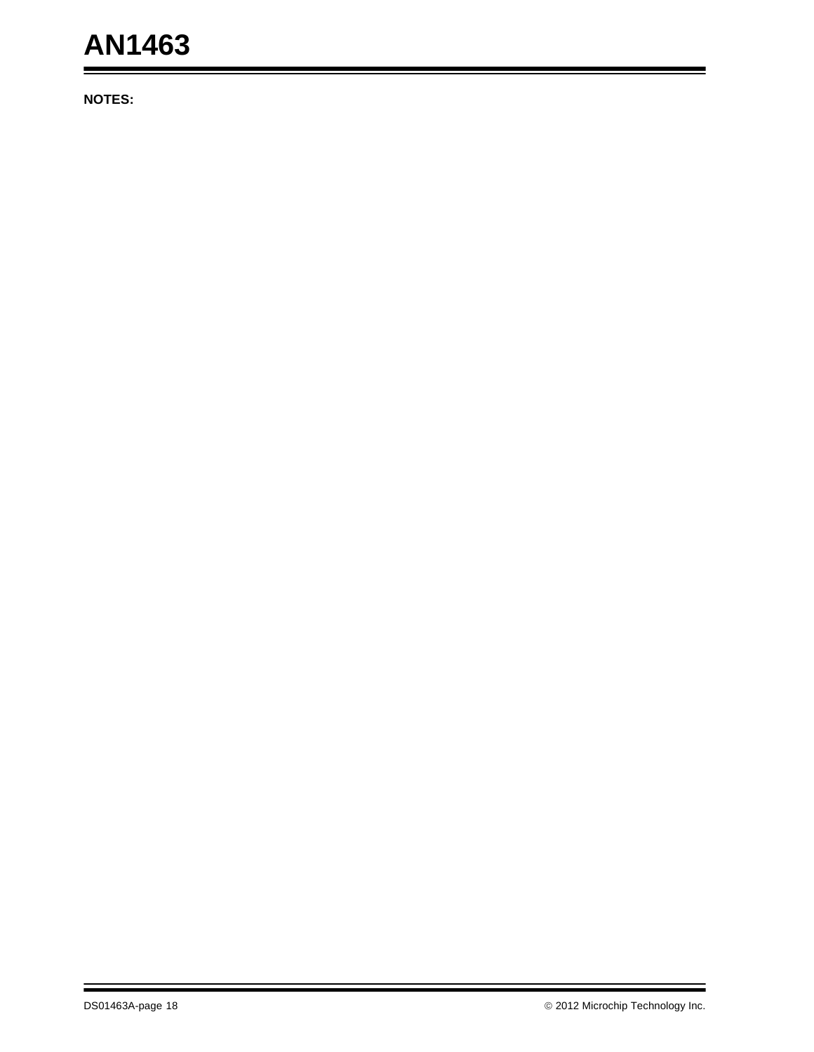# **AN1463**

**NOTES:**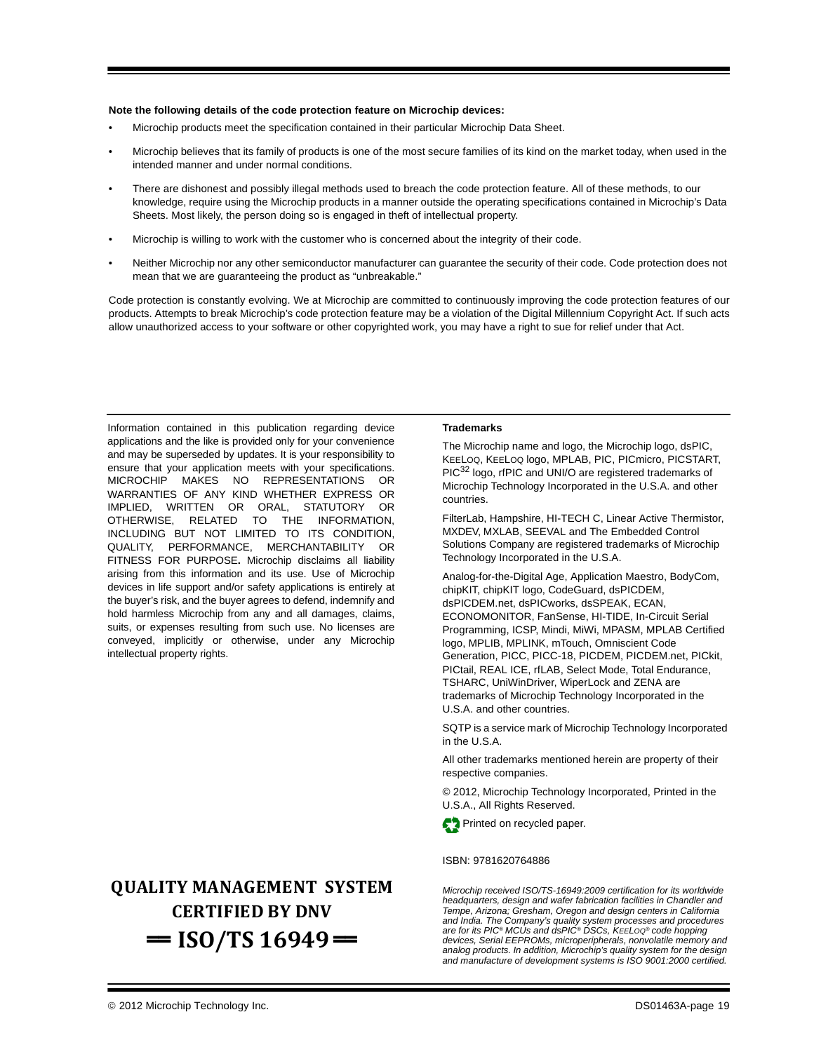#### **Note the following details of the code protection feature on Microchip devices:**

- Microchip products meet the specification contained in their particular Microchip Data Sheet.
- Microchip believes that its family of products is one of the most secure families of its kind on the market today, when used in the intended manner and under normal conditions.
- There are dishonest and possibly illegal methods used to breach the code protection feature. All of these methods, to our knowledge, require using the Microchip products in a manner outside the operating specifications contained in Microchip's Data Sheets. Most likely, the person doing so is engaged in theft of intellectual property.
- Microchip is willing to work with the customer who is concerned about the integrity of their code.
- Neither Microchip nor any other semiconductor manufacturer can guarantee the security of their code. Code protection does not mean that we are guaranteeing the product as "unbreakable."

Code protection is constantly evolving. We at Microchip are committed to continuously improving the code protection features of our products. Attempts to break Microchip's code protection feature may be a violation of the Digital Millennium Copyright Act. If such acts allow unauthorized access to your software or other copyrighted work, you may have a right to sue for relief under that Act.

Information contained in this publication regarding device applications and the like is provided only for your convenience and may be superseded by updates. It is your responsibility to ensure that your application meets with your specifications. MICROCHIP MAKES NO REPRESENTATIONS OR WARRANTIES OF ANY KIND WHETHER EXPRESS OR IMPLIED, WRITTEN OR ORAL, STATUTORY OR OTHERWISE, RELATED TO THE INFORMATION, INCLUDING BUT NOT LIMITED TO ITS CONDITION, QUALITY, PERFORMANCE, MERCHANTABILITY OR FITNESS FOR PURPOSE**.** Microchip disclaims all liability arising from this information and its use. Use of Microchip devices in life support and/or safety applications is entirely at the buyer's risk, and the buyer agrees to defend, indemnify and hold harmless Microchip from any and all damages, claims, suits, or expenses resulting from such use. No licenses are conveyed, implicitly or otherwise, under any Microchip intellectual property rights.

# **QUALITY MANAGEMENT SYSTEM CERTIFIED BY DNV**   $=$  **ISO/TS 16949**  $=$

#### **Trademarks**

The Microchip name and logo, the Microchip logo, dsPIC, KEELOQ, KEELOQ logo, MPLAB, PIC, PICmicro, PICSTART, PIC<sup>32</sup> logo, rfPIC and UNI/O are registered trademarks of Microchip Technology Incorporated in the U.S.A. and other countries.

FilterLab, Hampshire, HI-TECH C, Linear Active Thermistor, MXDEV, MXLAB, SEEVAL and The Embedded Control Solutions Company are registered trademarks of Microchip Technology Incorporated in the U.S.A.

Analog-for-the-Digital Age, Application Maestro, BodyCom, chipKIT, chipKIT logo, CodeGuard, dsPICDEM, dsPICDEM.net, dsPICworks, dsSPEAK, ECAN, ECONOMONITOR, FanSense, HI-TIDE, In-Circuit Serial Programming, ICSP, Mindi, MiWi, MPASM, MPLAB Certified logo, MPLIB, MPLINK, mTouch, Omniscient Code Generation, PICC, PICC-18, PICDEM, PICDEM.net, PICkit, PICtail, REAL ICE, rfLAB, Select Mode, Total Endurance, TSHARC, UniWinDriver, WiperLock and ZENA are trademarks of Microchip Technology Incorporated in the U.S.A. and other countries.

SQTP is a service mark of Microchip Technology Incorporated in the U.S.A.

All other trademarks mentioned herein are property of their respective companies.

© 2012, Microchip Technology Incorporated, Printed in the U.S.A., All Rights Reserved.



#### ISBN: 9781620764886

*Microchip received ISO/TS-16949:2009 certification for its worldwide headquarters, design and wafer fabrication facilities in Chandler and Tempe, Arizona; Gresham, Oregon and design centers in California and India. The Company's quality system processes and procedures are for its PIC® MCUs and dsPIC® DSCs, KEELOQ® code hopping devices, Serial EEPROMs, microperipherals, nonvolatile memory and analog products. In addition, Microchip's quality system for the design and manufacture of development systems is ISO 9001:2000 certified.*